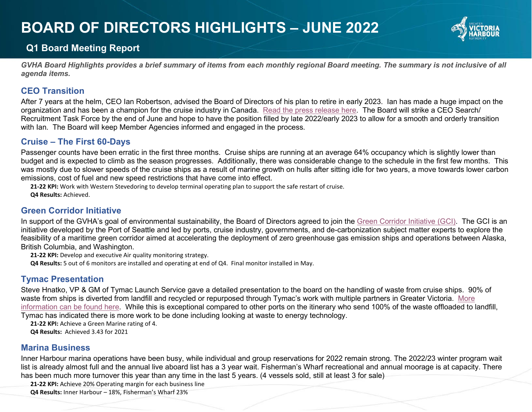# **BOARD OF DIRECTORS HIGHLIGHTS – JUNE 2022**



# **Q1 Board Meeting Report**

*GVHA Board Highlights provides a brief summary of items from each monthly regional Board meeting. The summary is not inclusive of all agenda items.*

### **CEO Transition**

After 7 years at the helm, CEO Ian Robertson, advised the Board of Directors of his plan to retire in early 2023. Ian has made a huge impact on the organization and has been a champion for the cruise industry in Canada. [Read the press release here.](https://gvha.ca/about-gvha/newsroom/greater-victoria-harbour-authority-announces-departure-of-ceo/) The Board will strike a CEO Search/ Recruitment Task Force by the end of June and hope to have the position filled by late 2022/early 2023 to allow for a smooth and orderly transition with Ian. The Board will keep Member Agencies informed and engaged in the process.

## **Cruise – The First 60-Days**

Passenger counts have been erratic in the first three months. Cruise ships are running at an average 64% occupancy which is slightly lower than budget and is expected to climb as the season progresses. Additionally, there was considerable change to the schedule in the first few months. This was mostly due to slower speeds of the cruise ships as a result of marine growth on hulls after sitting idle for two years, a move towards lower carbon emissions, cost of fuel and new speed restrictions that have come into effect.

**21-22 KPI:** Work with Western Stevedoring to develop terminal operating plan to support the safe restart of cruise. **Q4 Results:** Achieved.

## **Green Corridor Initiative**

In support of the GVHA's goal of environmental sustainability, the Board of Directors agreed to join the [Green Corridor Initiative](https://www.portseattle.org/projects/exploring-alaska-british-columbia-washington-maritime-green-corridor) (GCI). The GCI is an initiative developed by the Port of Seattle and led by ports, cruise industry, governments, and de-carbonization subject matter experts to explore the feasibility of a maritime green corridor aimed at accelerating the deployment of zero greenhouse gas emission ships and operations between Alaska, British Columbia, and Washington.

**21-22 KPI:** Develop and executive Air quality monitoring strategy.

**Q4 Results:** 5 out of 6 monitors are installed and operating at end of Q4. Final monitor installed in May.

## **Tymac Presentation**

Steve Hnatko, VP & GM of Tymac Launch Service gave a detailed presentation to the board on the handling of waste from cruise ships. 90% of waste from ships is diverted from landfill and recycled or repurposed through Tymac's work with multiple partners in Greater Victoria. [More](https://gvha.ca/cruise/cruise-operations/)  [information can be found here.](https://gvha.ca/cruise/cruise-operations/) While this is exceptional compared to other ports on the itinerary who send 100% of the waste offloaded to landfill, Tymac has indicated there is more work to be done including looking at waste to energy technology.

**21-22 KPI:** Achieve a Green Marine rating of 4.

**Q4 Results:** Achieved 3.43 for 2021

## **Marina Business**

Inner Harbour marina operations have been busy, while individual and group reservations for 2022 remain strong. The 2022/23 winter program wait list is already almost full and the annual live aboard list has a 3 year wait. Fisherman's Wharf recreational and annual moorage is at capacity. There has been much more turnover this year than any time in the last 5 years. (4 vessels sold, still at least 3 for sale)

**21-22 KPI:** Achieve 20% Operating margin for each business line

**Q4 Results:** Inner Harbour – 18%, Fisherman's Wharf 23%